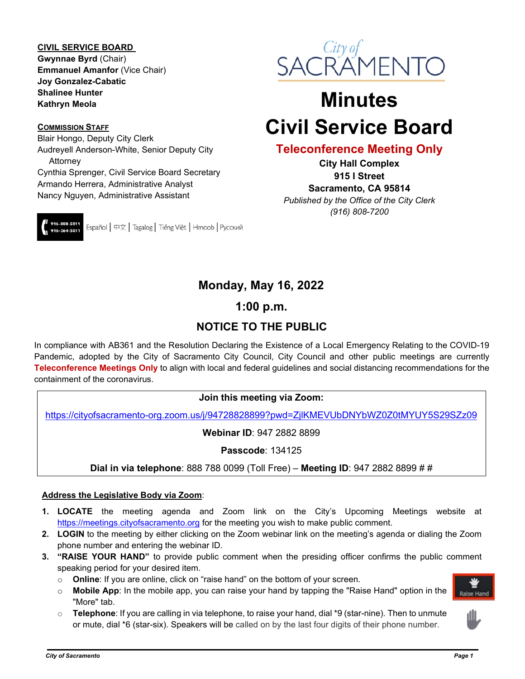#### **CIVIL SERVICE BOARD**

**COMMISSION STAFF**

Attorney

916-264-5011

**Gwynnae Byrd** (Chair) **Emmanuel Amanfor** (Vice Chair) **Joy Gonzalez-Cabatic Shalinee Hunter Kathryn Meola** 

Blair Hongo, Deputy City Clerk



# **Minutes Civil Service Board**

## **Teleconference Meeting Only**

**City Hall Complex 915 I Street Sacramento, CA 95814** *Published by the Office of the City Clerk (916) 808-7200*

Nancy Nguyen, Administrative Assistant 916-808-5011 Español | 中文 | Tagalog | Tiếng Việt | Hmoob | Русский

Audreyell Anderson-White, Senior Deputy City

Cynthia Sprenger, Civil Service Board Secretary

Armando Herrera, Administrative Analyst

# **Monday, May 16, 2022**

# **1:00 p.m.**

# **NOTICE TO THE PUBLIC**

In compliance with AB361 and the Resolution Declaring the Existence of a Local Emergency Relating to the COVID-19 Pandemic, adopted by the City of Sacramento City Council, City Council and other public meetings are currently **Teleconference Meetings Only** to align with local and federal guidelines and social distancing recommendations for the containment of the coronavirus.

#### **Join this meeting via Zoom:**

<https://cityofsacramento-org.zoom.us/j/94728828899?pwd=ZjlKMEVUbDNYbWZ0Z0tMYUY5S29SZz09>

**Webinar ID**: 947 2882 8899

**Passcode**: 134125

**Dial in via telephone**: 888 788 0099 (Toll Free) – **Meeting ID**: 947 2882 8899 # #

#### **Address the Legislative Body via Zoom**:

- **1. LOCATE** the meeting agenda and Zoom link on the City's Upcoming Meetings website at [https://meetings.cityofsacramento.org](https://meetings.cityofsacramento.org/) for the meeting you wish to make public comment.
- **2. LOGIN** to the meeting by either clicking on the Zoom webinar link on the meeting's agenda or dialing the Zoom phone number and entering the webinar ID.
- **3. "RAISE YOUR HAND"** to provide public comment when the presiding officer confirms the public comment speaking period for your desired item.
	- o **Online**: If you are online, click on "raise hand" on the bottom of your screen.
	- o **Mobile App**: In the mobile app, you can raise your hand by tapping the "Raise Hand" option in the "More" tab.
	- o **Telephone**: If you are calling in via telephone, to raise your hand, dial \*9 (star-nine). Then to unmute or mute, dial \*6 (star-six). Speakers will be called on by the last four digits of their phone number.

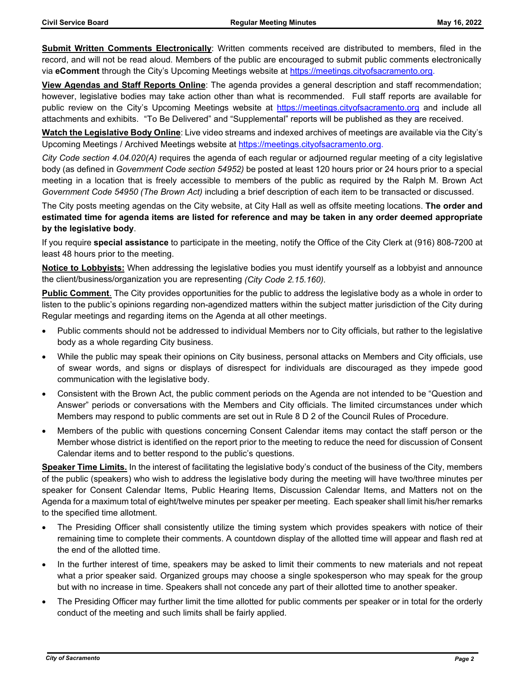**Submit Written Comments Electronically**: Written comments received are distributed to members, filed in the record, and will not be read aloud. Members of the public are encouraged to submit public comments electronically via **eComment** through the City's Upcoming Meetings website at [https://meetings.cityofsacramento.org.](https://meetings.cityofsacramento.org/)

**View Agendas and Staff Reports Online**: The agenda provides a general description and staff recommendation; however, legislative bodies may take action other than what is recommended. Full staff reports are available for public review on the City's Upcoming Meetings website at [https://meetings.cityofsacramento.org](https://meetings.cityofsacramento.org/) and include all attachments and exhibits. "To Be Delivered" and "Supplemental" reports will be published as they are received.

**Watch the Legislative Body Online**: Live video streams and indexed archives of meetings are available via the City's Upcoming Meetings / Archived Meetings website at [https://meetings.cityofsacramento.org.](https://meetings.cityofsacramento.org/)

*City Code section 4.04.020(A)* requires the agenda of each regular or adjourned regular meeting of a city legislative body (as defined in *Government Code section 54952)* be posted at least 120 hours prior or 24 hours prior to a special meeting in a location that is freely accessible to members of the public as required by the Ralph M. Brown Act *Government Code 54950 (The Brown Act)* including a brief description of each item to be transacted or discussed.

The City posts meeting agendas on the City website, at City Hall as well as offsite meeting locations. **The order and estimated time for agenda items are listed for reference and may be taken in any order deemed appropriate by the legislative body**.

If you require **special assistance** to participate in the meeting, notify the Office of the City Clerk at (916) 808-7200 at least 48 hours prior to the meeting.

**Notice to Lobbyists:** When addressing the legislative bodies you must identify yourself as a lobbyist and announce the client/business/organization you are representing *(City Code 2.15.160).*

**Public Comment**. The City provides opportunities for the public to address the legislative body as a whole in order to listen to the public's opinions regarding non-agendized matters within the subject matter jurisdiction of the City during Regular meetings and regarding items on the Agenda at all other meetings.

- Public comments should not be addressed to individual Members nor to City officials, but rather to the legislative body as a whole regarding City business.
- While the public may speak their opinions on City business, personal attacks on Members and City officials, use of swear words, and signs or displays of disrespect for individuals are discouraged as they impede good communication with the legislative body.
- Consistent with the Brown Act, the public comment periods on the Agenda are not intended to be "Question and Answer" periods or conversations with the Members and City officials. The limited circumstances under which Members may respond to public comments are set out in Rule 8 D 2 of the Council Rules of Procedure.
- Members of the public with questions concerning Consent Calendar items may contact the staff person or the Member whose district is identified on the report prior to the meeting to reduce the need for discussion of Consent Calendar items and to better respond to the public's questions.

**Speaker Time Limits.** In the interest of facilitating the legislative body's conduct of the business of the City, members of the public (speakers) who wish to address the legislative body during the meeting will have two/three minutes per speaker for Consent Calendar Items, Public Hearing Items, Discussion Calendar Items, and Matters not on the Agenda for a maximum total of eight/twelve minutes per speaker per meeting. Each speaker shall limit his/her remarks to the specified time allotment.

- The Presiding Officer shall consistently utilize the timing system which provides speakers with notice of their remaining time to complete their comments. A countdown display of the allotted time will appear and flash red at the end of the allotted time.
- In the further interest of time, speakers may be asked to limit their comments to new materials and not repeat what a prior speaker said. Organized groups may choose a single spokesperson who may speak for the group but with no increase in time. Speakers shall not concede any part of their allotted time to another speaker.
- The Presiding Officer may further limit the time allotted for public comments per speaker or in total for the orderly conduct of the meeting and such limits shall be fairly applied.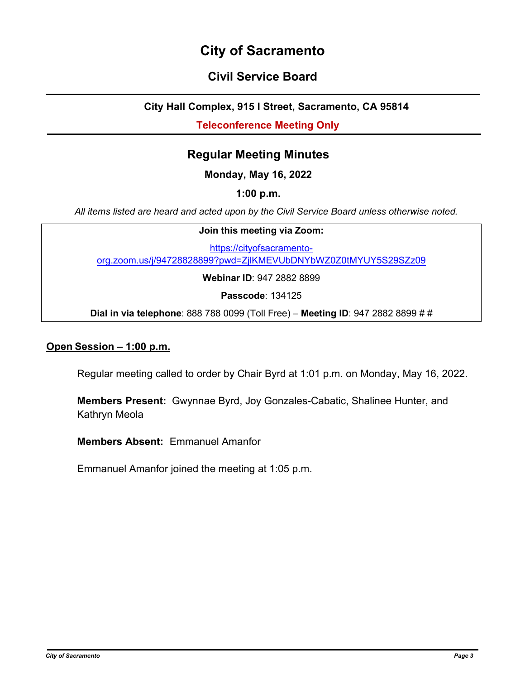# **City of Sacramento**

# **Civil Service Board**

#### **City Hall Complex, 915 I Street, Sacramento, CA 95814**

**Teleconference Meeting Only**

# **Regular Meeting Minutes**

**Monday, May 16, 2022**

**1:00 p.m.**

*All items listed are heard and acted upon by the Civil Service Board unless otherwise noted.*

**Join this meeting via Zoom:**

[https://cityofsacramento](https://cityofsacramento-org.zoom.us/j/94728828899?pwd=ZjlKMEVUbDNYbWZ0Z0tMYUY5S29SZz09)[org.zoom.us/j/94728828899?pwd=ZjlKMEVUbDNYbWZ0Z0tMYUY5S29SZz09](https://cityofsacramento-org.zoom.us/j/94728828899?pwd=ZjlKMEVUbDNYbWZ0Z0tMYUY5S29SZz09) 

**Webinar ID**: 947 2882 8899

**Passcode**: 134125

**Dial in via telephone**: 888 788 0099 (Toll Free) – **Meeting ID**: 947 2882 8899 # #

#### **Open Session – 1:00 p.m.**

Regular meeting called to order by Chair Byrd at 1:01 p.m. on Monday, May 16, 2022.

**Members Present:** Gwynnae Byrd, Joy Gonzales-Cabatic, Shalinee Hunter, and Kathryn Meola

**Members Absent:** Emmanuel Amanfor

Emmanuel Amanfor joined the meeting at 1:05 p.m.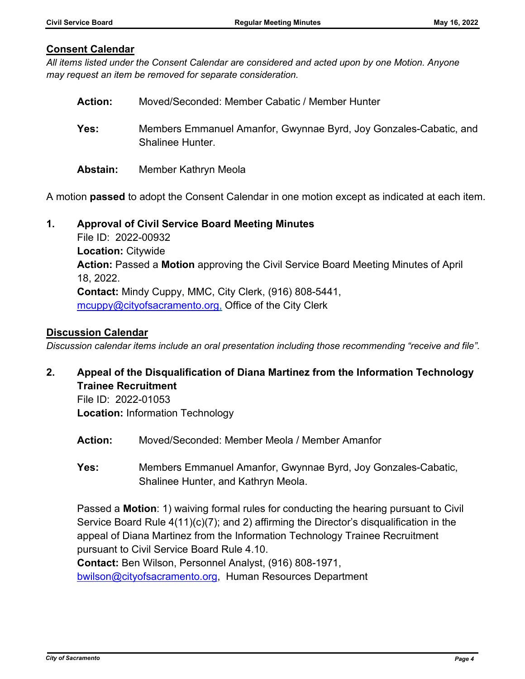#### **Consent Calendar**

*All items listed under the Consent Calendar are considered and acted upon by one Motion. Anyone may request an item be removed for separate consideration.*

| <b>Action:</b> | Moved/Seconded: Member Cabatic / Member Hunter                                               |
|----------------|----------------------------------------------------------------------------------------------|
| Yes:           | Members Emmanuel Amanfor, Gwynnae Byrd, Joy Gonzales-Cabatic, and<br><b>Shalinee Hunter.</b> |
| Abstain:       | Member Kathryn Meola                                                                         |

A motion **passed** to adopt the Consent Calendar in one motion except as indicated at each item.

#### **1. Approval of Civil Service Board Meeting Minutes**

File ID: 2022-00932 **Location:** Citywide **Action:** Passed a **Motion** approving the Civil Service Board Meeting Minutes of April 18, 2022. **Contact:** Mindy Cuppy, MMC, City Clerk, (916) 808-5441, [mcuppy@cityofsacramento.org,](mailto:mcuppy@cityofsacramento.org) Office of the City Clerk

#### **Discussion Calendar**

*Discussion calendar items include an oral presentation including those recommending "receive and file".*

### **2. Appeal of the Disqualification of Diana Martinez from the Information Technology Trainee Recruitment**

File ID: 2022-01053 **Location:** Information Technology

- **Action:** Moved/Seconded: Member Meola / Member Amanfor
- **Yes:** Members Emmanuel Amanfor, Gwynnae Byrd, Joy Gonzales-Cabatic, Shalinee Hunter, and Kathryn Meola.

Passed a **Motion**: 1) waiving formal rules for conducting the hearing pursuant to Civil Service Board Rule 4(11)(c)(7); and 2) affirming the Director's disqualification in the appeal of Diana Martinez from the Information Technology Trainee Recruitment pursuant to Civil Service Board Rule 4.10.

**Contact:** Ben Wilson, Personnel Analyst, (916) 808-1971,

[bwilson@cityofsacramento.org,](mailto:bwilson@cityofsacramento.org) Human Resources Department